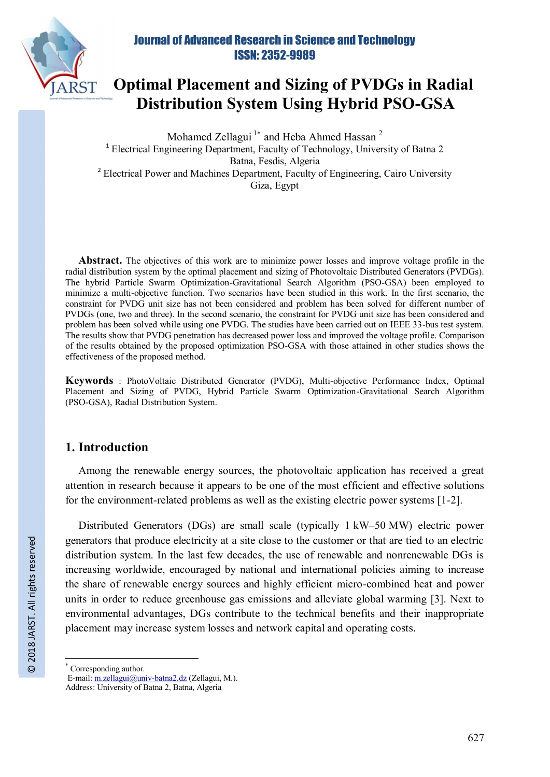

# **Optimal Placement and Sizing of PVDGs in Radial Distribution System Using Hybrid PSO-GSA**

Mohamed Zellagui<sup>1\*</sup> and Heba Ahmed Hassan<sup>2</sup> <sup>1</sup> Electrical Engineering Department, Faculty of Technology, University of Batna 2 Batna, Fesdis, Algeria <sup>2</sup> Electrical Power and Machines Department, Faculty of Engineering, Cairo University Giza, Egypt

**Abstract.** The objectives of this work are to minimize power losses and improve voltage profile in the radial distribution system by the optimal placement and sizing of Photovoltaic Distributed Generators (PVDGs). The hybrid Particle Swarm Optimization-Gravitational Search Algorithm (PSO-GSA) been employed to minimize a multi-objective function. Two scenarios have been studied in this work. In the first scenario, the constraint for PVDG unit size has not been considered and problem has been solved for different number of PVDGs (one, two and three). In the second scenario, the constraint for PVDG unit size has been considered and problem has been solved while using one PVDG. The studies have been carried out on IEEE 33-bus test system. The results show that PVDG penetration has decreased power loss and improved the voltage profile. Comparison of the results obtained by the proposed optimization PSO-GSA with those attained in other studies shows the effectiveness of the proposed method.

**Keywords** : PhotoVoltaic Distributed Generator (PVDG), Multi-objective Performance Index, Optimal Placement and Sizing of PVDG, Hybrid Particle Swarm Optimization-Gravitational Search Algorithm (PSO-GSA), Radial Distribution System.

## **1. Introduction**

Among the renewable energy sources, the photovoltaic application has received a great attention in research because it appears to be one of the most efficient and effective solutions for the environment-related problems as well as the existing electric power systems [1-2].

Distributed Generators (DGs) are small scale (typically 1 kW–50 MW) electric power generators that produce electricity at a site close to the customer or that are tied to an electric distribution system. In the last few decades, the use of renewable and nonrenewable DGs is increasing worldwide, encouraged by national and international policies aiming to increase the share of renewable energy sources and highly efficient micro-combined heat and power units in order to reduce greenhouse gas emissions and alleviate global warming [3]. Next to environmental advantages, DGs contribute to the technical benefits and their inappropriate placement may increase system losses and network capital and operating costs.

 $\overline{a}$ 

<sup>\*</sup> Corresponding author.

E-mail: m.zellagui@univ-batna2.dz (Zellagui, M.).

Address: University of Batna 2, Batna, Algeria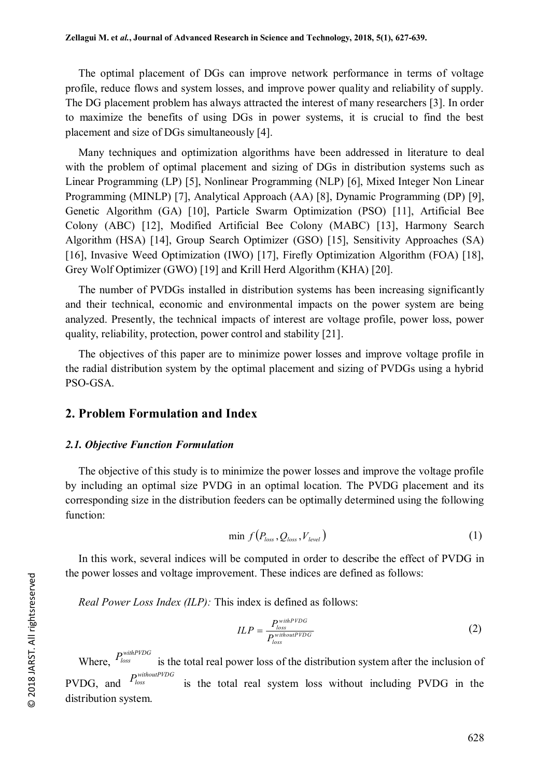The optimal placement of DGs can improve network performance in terms of voltage profile, reduce flows and system losses, and improve power quality and reliability of supply. The DG placement problem has always attracted the interest of many researchers [3]. In order to maximize the benefits of using DGs in power systems, it is crucial to find the best placement and size of DGs simultaneously [4].

Many techniques and optimization algorithms have been addressed in literature to deal with the problem of optimal placement and sizing of DGs in distribution systems such as Linear Programming (LP) [5], Nonlinear Programming (NLP) [6], Mixed Integer Non Linear Programming (MINLP) [7], Analytical Approach (AA) [8], Dynamic Programming (DP) [9], Genetic Algorithm (GA) [10], Particle Swarm Optimization (PSO) [11], Artificial Bee Colony (ABC) [12], Modified Artificial Bee Colony (MABC) [13], Harmony Search Algorithm (HSA) [14], Group Search Optimizer (GSO) [15], Sensitivity Approaches (SA) [16], Invasive Weed Optimization (IWO) [17], Firefly Optimization Algorithm (FOA) [18], Grey Wolf Optimizer (GWO) [19] and Krill Herd Algorithm (KHA) [20].

The number of PVDGs installed in distribution systems has been increasing significantly and their technical, economic and environmental impacts on the power system are being analyzed. Presently, the technical impacts of interest are voltage profile, power loss, power quality, reliability, protection, power control and stability [21].

The objectives of this paper are to minimize power losses and improve voltage profile in the radial distribution system by the optimal placement and sizing of PVDGs using a hybrid PSO-GSA.

## **2. Problem Formulation and Index**

#### *2.1. Objective Function Formulation*

The objective of this study is to minimize the power losses and improve the voltage profile by including an optimal size PVDG in an optimal location. The PVDG placement and its corresponding size in the distribution feeders can be optimally determined using the following function:

$$
\min f(P_{loss}, Q_{loss}, V_{level})
$$
\n(1)

In this work, several indices will be computed in order to describe the effect of PVDG in the power losses and voltage improvement. These indices are defined as follows:

*Real Power Loss Index (ILP):* This index is defined as follows:

$$
ILP = \frac{P_{loss}^{withPVDG}}{P_{loss}^{withhoutPVDG}}
$$
 (2)

Where,  $P_{loss}^{withPVDG}$ *P*<sup>*withoutPVDG R*<sup>*PVDG*</sup> *R*<sup>*PVDG*</sup> *Bs***<b>***kcBs***<b>***cks***<b>***nk***<sub>***c***</sub>***gx***<sub></sub>***k***<sub>***b***</sub><sub>***s***</sub>***gx***<sub></sub>***k***<sub>***b***</sub><sup>***s***</sup>***k***<sub>***b***</sub><sup>***g***</sup>***k***<sub>***b***</sub><sup>***g***</sup>***k***<sub>***b***</sub><sup>***g***</sup>***k***<sub>***b***</sub><sup>***k***</sup>***k***<sub>***b***</sub></sub>***k***<sub>***b***</sub><sup>***g</sup></sup>* PVDG, and is the total real system loss without including PVDG in the distribution system.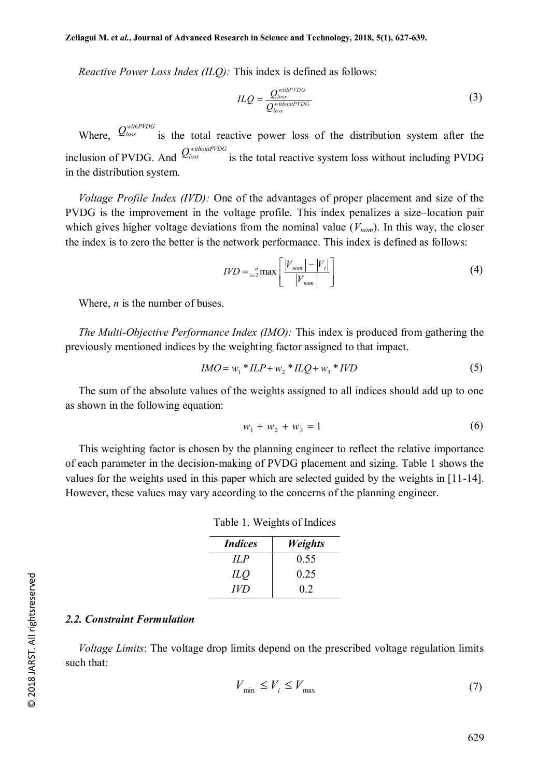*Reactive Power Loss Index (ILQ):* This index is defined as follows:

$$
ILQ = \frac{Q_{loss}^{withPVDG}}{Q_{loss}^{withbutPVDG}}
$$
 (3)

Where,  $Q_{loss}^{withPVDG}$  is the total reactive power loss of the distribution system after the inclusion of PVDG. And  $Q_{loss}^{withoutPDG}$ *is the total reactive system loss without including PVDG* in the distribution system.

*Voltage Profile Index (IVD):* One of the advantages of proper placement and size of the PVDG is the improvement in the voltage profile. This index penalizes a size–location pair which gives higher voltage deviations from the nominal value  $(V_{nom})$ . In this way, the closer the index is to zero the better is the network performance. This index is defined as follows:

$$
IVD = \binom{n}{i-2} \max \left[ \frac{|V_{nom}|-|V_i|}{|V_{nom}|} \right]
$$
 (4)

Where, *n* is the number of buses.

*The Multi-Objective Performance Index (IMO):* This index is produced from gathering the previously mentioned indices by the weighting factor assigned to that impact.

$$
IMO = w_1 * ILP + w_2 * ILQ + w_3 * IVD
$$
 (5)

The sum of the absolute values of the weights assigned to all indices should add up to one as shown in the following equation:

$$
w_1 + w_2 + w_3 = 1 \tag{6}
$$

This weighting factor is chosen by the planning engineer to reflect the relative importance of each parameter in the decision-making of PVDG placement and sizing. Table 1 shows the values for the weights used in this paper which are selected guided by the weights in [11-14]. However, these values may vary according to the concerns of the planning engineer.

Table 1. Weights of Indices

| <i>Indices</i> | <b>Weights</b> |
|----------------|----------------|
| ILP            | 0.55           |
| ILO            | 0.25           |
| IVD            | 02             |

#### *2.2. Constraint Formulation*

*Voltage Limits*: The voltage drop limits depend on the prescribed voltage regulation limits such that:

$$
V_{\min} \le V_i \le V_{\max} \tag{7}
$$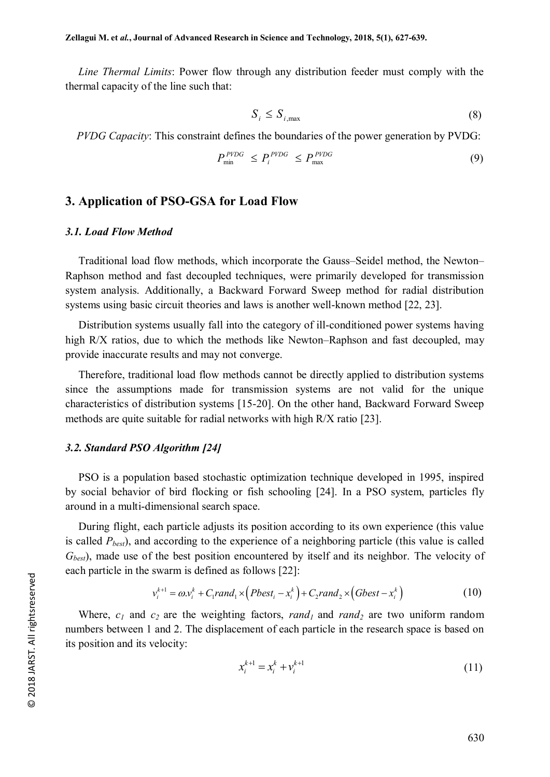*Line Thermal Limits*: Power flow through any distribution feeder must comply with the thermal capacity of the line such that:

$$
S_i \le S_{i, \max} \tag{8}
$$

*PVDG Capacity*: This constraint defines the boundaries of the power generation by PVDG:

$$
P_{\min}^{PVDG} \le P_i^{PVDG} \le P_{\max}^{PVDG} \tag{9}
$$

### **3. Application of PSO-GSA for Load Flow**

#### *3.1. Load Flow Method*

Traditional load flow methods, which incorporate the Gauss–Seidel method, the Newton– Raphson method and fast decoupled techniques, were primarily developed for transmission system analysis. Additionally, a Backward Forward Sweep method for radial distribution systems using basic circuit theories and laws is another well-known method [22, 23].

Distribution systems usually fall into the category of ill-conditioned power systems having high R/X ratios, due to which the methods like Newton–Raphson and fast decoupled, may provide inaccurate results and may not converge.

Therefore, traditional load flow methods cannot be directly applied to distribution systems since the assumptions made for transmission systems are not valid for the unique characteristics of distribution systems [15-20]. On the other hand, Backward Forward Sweep methods are quite suitable for radial networks with high R/X ratio [23].

#### *3.2. Standard PSO Algorithm [24]*

PSO is a population based stochastic optimization technique developed in 1995, inspired by social behavior of bird flocking or fish schooling [24]. In a PSO system, particles fly around in a multi-dimensional search space.

During flight, each particle adjusts its position according to its own experience (this value is called *Pbest*), and according to the experience of a neighboring particle (this value is called *Gbest*), made use of the best position encountered by itself and its neighbor. The velocity of each particle in the swarm is defined as follows [22]:

$$
v_i^{k+1} = \omega v_i^k + C_1 rand_1 \times (Pbest_i - x_i^k) + C_2 rand_2 \times (Gbest - x_i^k)
$$
(10)

Where, *c<sup>1</sup>* and *c2* are the weighting factors, *rand1* and *rand<sup>2</sup>* are two uniform random numbers between 1 and 2. The displacement of each particle in the research space is based on its position and its velocity:

$$
x_i^{k+1} = x_i^k + v_i^{k+1}
$$
 (11)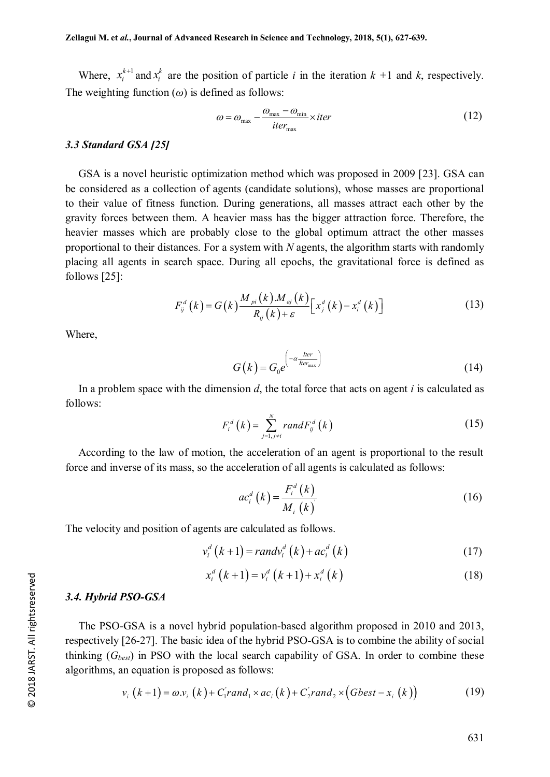Where,  $x_i^{k+1}$  and  $x_i^k$  are the position of particle *i* in the iteration  $k + 1$  and  $k$ , respectively. The weighting function  $(\omega)$  is defined as follows:

$$
\omega = \omega_{\text{max}} - \frac{\omega_{\text{max}} - \omega_{\text{min}}}{iter_{\text{max}}} \times iter \tag{12}
$$

#### *3.3 Standard GSA [25]*

GSA is a novel heuristic optimization method which was proposed in 2009 [23]. GSA can be considered as a collection of agents (candidate solutions), whose masses are proportional to their value of fitness function. During generations, all masses attract each other by the gravity forces between them. A heavier mass has the bigger attraction force. Therefore, the heavier masses which are probably close to the global optimum attract the other masses proportional to their distances. For a system with *N* agents, the algorithm starts with randomly placing all agents in search space. During all epochs, the gravitational force is defined as follows [25]:

$$
F_{ij}^{d}\left(k\right) = G\left(k\right) \frac{M_{pi}\left(k\right) M_{aj}\left(k\right)}{R_{ij}\left(k\right) + \varepsilon} \left[x_{j}^{d}\left(k\right) - x_{i}^{d}\left(k\right)\right]
$$
\n(13)

Where,

$$
G(k) = G_0 e^{\left(-\alpha \frac{I \text{ter}}{I \text{ter}_{\text{max}}}\right)}
$$
(14)

In a problem space with the dimension *d*, the total force that acts on agent *i* is calculated as follows:

$$
F_i^d(k) = \sum_{j=1, j\neq i}^N randF_{ij}^d(k)
$$
\n(15)

According to the law of motion, the acceleration of an agent is proportional to the result force and inverse of its mass, so the acceleration of all agents is calculated as follows:

$$
ac_i^d(k) = \frac{F_i^d(k)}{M_i(k)}
$$
 (16)

The velocity and position of agents are calculated as follows.

$$
v_i^d(k+1) = randv_i^d(k) + ac_i^d(k)
$$
\n(17)

$$
x_i^d\left(k+1\right) = v_i^d\left(k+1\right) + x_i^d\left(k\right) \tag{18}
$$

#### *3.4. Hybrid PSO-GSA*

The PSO-GSA is a novel hybrid population-based algorithm proposed in 2010 and 2013, respectively [26-27]. The basic idea of the hybrid PSO-GSA is to combine the ability of social thinking (*Gbest*) in PSO with the local search capability of GSA. In order to combine these algorithms, an equation is proposed as follows:

$$
v_i(k+1) = \omega.v_i(k) + C_1 rand_1 \times ac_i(k) + C_2 rand_2 \times (Gbest - x_i(k))
$$
\n(19)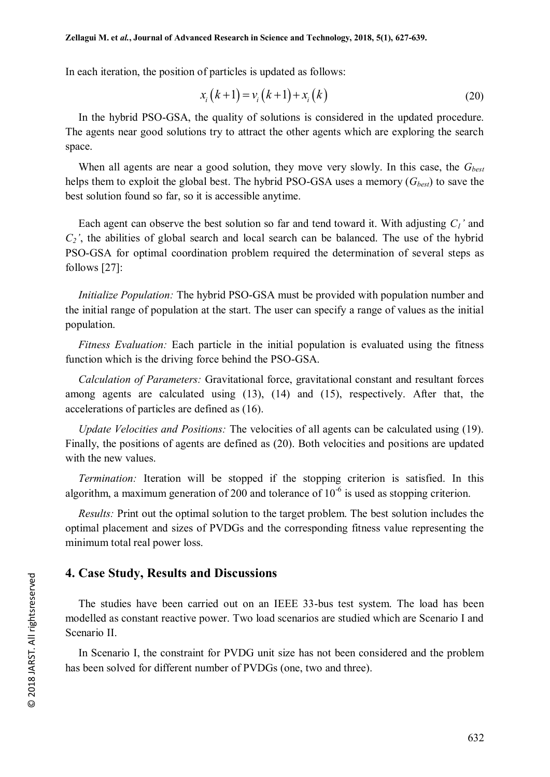In each iteration, the position of particles is updated as follows:

$$
x_i(k+1) = v_i(k+1) + x_i(k)
$$
 (20)

In the hybrid PSO-GSA, the quality of solutions is considered in the updated procedure. The agents near good solutions try to attract the other agents which are exploring the search space.

When all agents are near a good solution, they move very slowly. In this case, the *Gbest* helps them to exploit the global best. The hybrid PSO-GSA uses a memory (*Gbest*) to save the best solution found so far, so it is accessible anytime.

Each agent can observe the best solution so far and tend toward it. With adjusting *C1'* and  $C_2$ <sup>'</sup>, the abilities of global search and local search can be balanced. The use of the hybrid PSO-GSA for optimal coordination problem required the determination of several steps as follows [27]:

*Initialize Population:* The hybrid PSO-GSA must be provided with population number and the initial range of population at the start. The user can specify a range of values as the initial population.

*Fitness Evaluation:* Each particle in the initial population is evaluated using the fitness function which is the driving force behind the PSO-GSA.

*Calculation of Parameters:* Gravitational force, gravitational constant and resultant forces among agents are calculated using (13), (14) and (15), respectively. After that, the accelerations of particles are defined as (16).

*Update Velocities and Positions:* The velocities of all agents can be calculated using (19). Finally, the positions of agents are defined as (20). Both velocities and positions are updated with the new values.

*Termination:* Iteration will be stopped if the stopping criterion is satisfied. In this algorithm, a maximum generation of 200 and tolerance of  $10^{-6}$  is used as stopping criterion.

*Results:* Print out the optimal solution to the target problem. The best solution includes the optimal placement and sizes of PVDGs and the corresponding fitness value representing the minimum total real power loss.

## **4. Case Study, Results and Discussions**

The studies have been carried out on an IEEE 33-bus test system. The load has been modelled as constant reactive power. Two load scenarios are studied which are Scenario I and Scenario II.

In Scenario I, the constraint for PVDG unit size has not been considered and the problem has been solved for different number of PVDGs (one, two and three).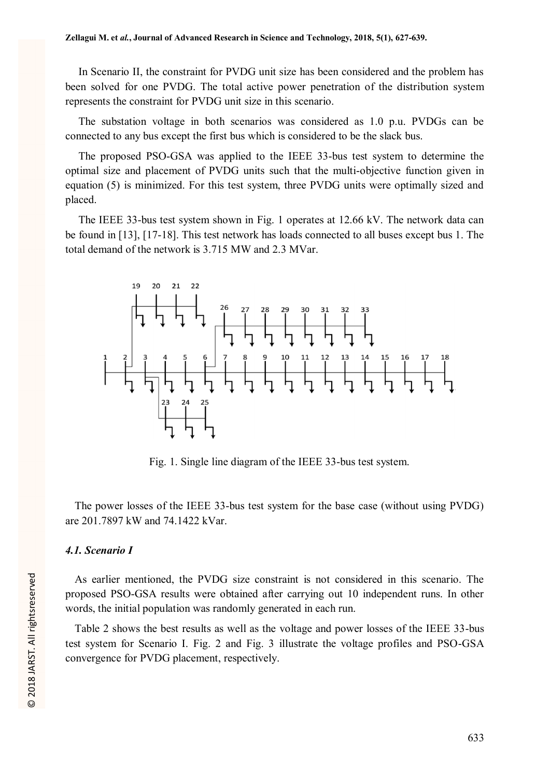In Scenario II, the constraint for PVDG unit size has been considered and the problem has been solved for one PVDG. The total active power penetration of the distribution system represents the constraint for PVDG unit size in this scenario.

The substation voltage in both scenarios was considered as 1.0 p.u. PVDGs can be connected to any bus except the first bus which is considered to be the slack bus.

The proposed PSO-GSA was applied to the IEEE 33-bus test system to determine the optimal size and placement of PVDG units such that the multi-objective function given in equation (5) is minimized. For this test system, three PVDG units were optimally sized and placed.

The IEEE 33-bus test system shown in Fig. 1 operates at 12.66 kV. The network data can be found in [13], [17-18]. This test network has loads connected to all buses except bus 1. The total demand of the network is 3.715 MW and 2.3 MVar.



Fig. 1. Single line diagram of the IEEE 33-bus test system.

The power losses of the IEEE 33-bus test system for the base case (without using PVDG) are 201.7897 kW and 74.1422 kVar.

### *4.1. Scenario I*

As earlier mentioned, the PVDG size constraint is not considered in this scenario. The proposed PSO-GSA results were obtained after carrying out 10 independent runs. In other words, the initial population was randomly generated in each run.

Table 2 shows the best results as well as the voltage and power losses of the IEEE 33-bus test system for Scenario I. Fig. 2 and Fig. 3 illustrate the voltage profiles and PSO-GSA convergence for PVDG placement, respectively.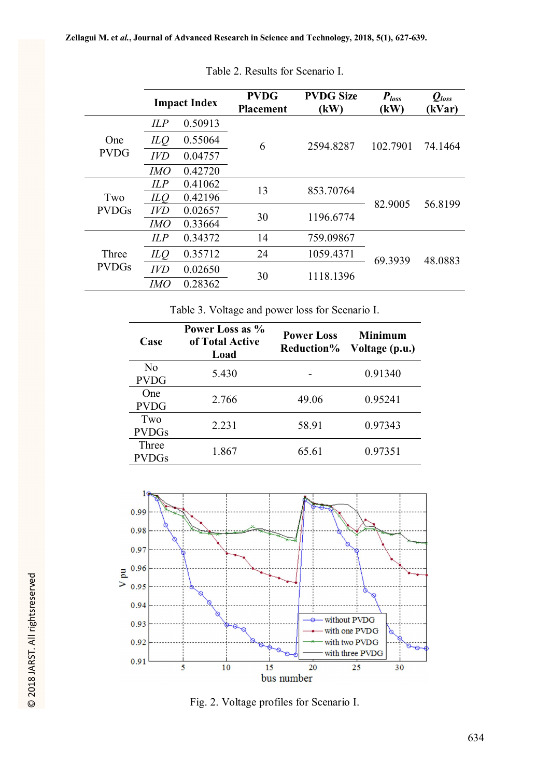|                       |            | <b>Impact Index</b> | <b>PVDG</b><br><b>Placement</b> | <b>PVDG Size</b><br>(kW) | $P_{loss}$<br>(kW) | $Q_{loss}$<br>(kVar) |
|-----------------------|------------|---------------------|---------------------------------|--------------------------|--------------------|----------------------|
| One<br><b>PVDG</b>    | ILP        | 0.50913             |                                 | 2594.8287                | 102.7901           | 74.1464              |
|                       | ILQ        | 0.55064             | 6                               |                          |                    |                      |
|                       | <b>IVD</b> | 0.04757             |                                 |                          |                    |                      |
|                       | <i>IMO</i> | 0.42720             |                                 |                          |                    |                      |
| Two                   | ILP        | 0.41062             | 13                              | 853.70764                |                    | 56.8199              |
|                       | ILQ        | 0.42196             |                                 |                          | 82.9005            |                      |
| <b>PVDGs</b>          | <b>IVD</b> | 0.02657             | 30                              | 1196.6774                |                    |                      |
|                       | IMO        | 0.33664             |                                 |                          |                    |                      |
| Three<br><b>PVDGs</b> | ILP        | 0.34372             | 14                              | 759.09867                |                    |                      |
|                       | ILQ        | 0.35712             | 24                              | 1059.4371                | 69.3939            | 48.0883              |
|                       | <b>IVD</b> | 0.02650             | 30                              | 1118.1396                |                    |                      |
|                       | IMO        | 0.28362             |                                 |                          |                    |                      |

Table 2. Results for Scenario I.

Table 3. Voltage and power loss for Scenario I.

| Case         | Power Loss as %<br>of Total Active<br>Load | <b>Power Loss</b><br><b>Reduction%</b> | <b>Minimum</b><br>Voltage (p.u.) |  |
|--------------|--------------------------------------------|----------------------------------------|----------------------------------|--|
| No           | 5.430                                      |                                        | 0.91340                          |  |
| <b>PVDG</b>  |                                            |                                        |                                  |  |
| One          | 2.766                                      | 49.06                                  | 0.95241                          |  |
| <b>PVDG</b>  |                                            |                                        |                                  |  |
| Two          | 2.231                                      | 58.91                                  | 0.97343                          |  |
| <b>PVDGs</b> |                                            |                                        |                                  |  |
| Three        | 1.867                                      | 65.61                                  | 0.97351                          |  |
| <b>PVDGs</b> |                                            |                                        |                                  |  |



Fig. 2. Voltage profiles for Scenario I.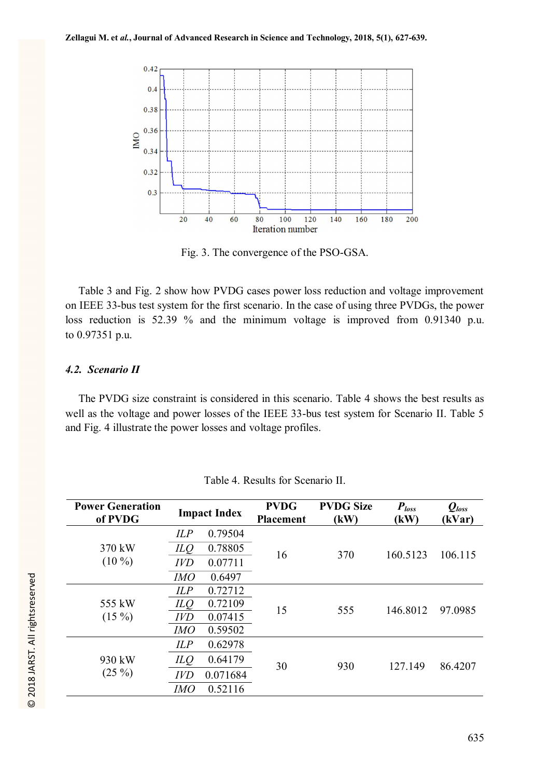

Fig. 3. The convergence of the PSO-GSA.

Table 3 and Fig. 2 show how PVDG cases power loss reduction and voltage improvement on IEEE 33-bus test system for the first scenario. In the case of using three PVDGs, the power loss reduction is 52.39 % and the minimum voltage is improved from 0.91340 p.u. to 0.97351 p.u.

## *4.2. Scenario II*

The PVDG size constraint is considered in this scenario. Table 4 shows the best results as well as the voltage and power losses of the IEEE 33-bus test system for Scenario II. Table 5 and Fig. 4 illustrate the power losses and voltage profiles.

| <b>Power Generation</b><br>of PVDG | <b>Impact Index</b> |          | <b>PVDG</b><br><b>Placement</b> | <b>PVDG Size</b><br>(kW) | $P_{loss}$<br>(kW) | $Q_{loss}$<br>(kVar) |
|------------------------------------|---------------------|----------|---------------------------------|--------------------------|--------------------|----------------------|
|                                    | ILP                 | 0.79504  |                                 | 370                      | 160.5123           | 106.115              |
| 370 kW                             | ILO                 | 0.78805  | 16                              |                          |                    |                      |
| $(10\%)$                           | <b>IVD</b>          | 0.07711  |                                 |                          |                    |                      |
|                                    | <b>IMO</b>          | 0.6497   |                                 |                          |                    |                      |
|                                    | ILP                 | 0.72712  | 15                              | 555                      | 146.8012           | 97.0985              |
| 555 kW                             | ILQ                 | 0.72109  |                                 |                          |                    |                      |
| $(15\%)$                           | <b>IVD</b>          | 0.07415  |                                 |                          |                    |                      |
|                                    | <b>IMO</b>          | 0.59502  |                                 |                          |                    |                      |
|                                    | ILP                 | 0.62978  |                                 |                          |                    |                      |
| 930 kW                             | ILQ                 | 0.64179  | 30                              | 930                      | 127.149            | 86.4207              |
| $(25\%)$                           | <b>IVD</b>          | 0.071684 |                                 |                          |                    |                      |
|                                    | IMO                 | 0.52116  |                                 |                          |                    |                      |

Table 4. Results for Scenario II.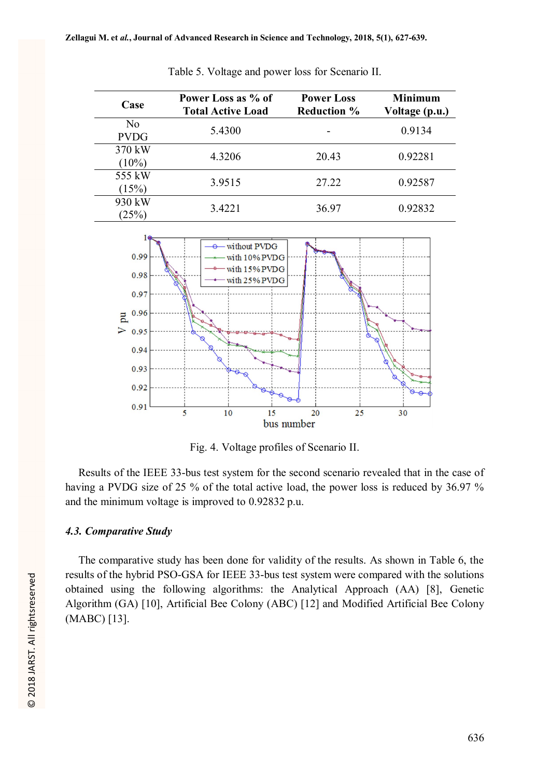| Case               | Power Loss as % of<br><b>Total Active Load</b> | <b>Power Loss</b><br><b>Reduction %</b> | <b>Minimum</b><br>Voltage (p.u.) |  |
|--------------------|------------------------------------------------|-----------------------------------------|----------------------------------|--|
| No.<br><b>PVDG</b> | 5.4300                                         |                                         | 0.9134                           |  |
| 370 kW<br>$(10\%)$ | 4.3206                                         | 20.43                                   | 0.92281                          |  |
| 555 kW<br>(15%)    | 3.9515                                         | 27.22                                   | 0.92587                          |  |
| 930 kW<br>(25%)    | 3.4221                                         | 36.97                                   | 0.92832                          |  |

Table 5. Voltage and power loss for Scenario II.



Fig. 4. Voltage profiles of Scenario II.

Results of the IEEE 33-bus test system for the second scenario revealed that in the case of having a PVDG size of 25 % of the total active load, the power loss is reduced by 36.97 % and the minimum voltage is improved to 0.92832 p.u.

## *4.3. Comparative Study*

The comparative study has been done for validity of the results. As shown in Table 6, the results of the hybrid PSO-GSA for IEEE 33-bus test system were compared with the solutions obtained using the following algorithms: the Analytical Approach (AA) [8], Genetic Algorithm (GA) [10], Artificial Bee Colony (ABC) [12] and Modified Artificial Bee Colony (MABC) [13].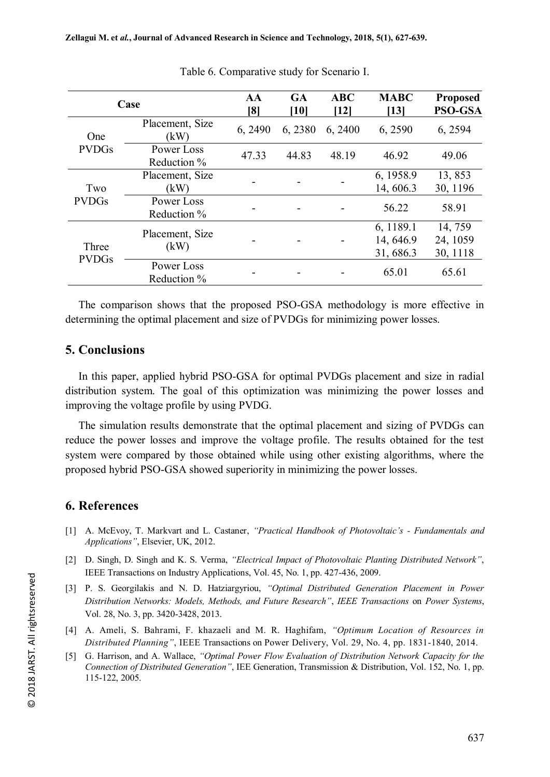|                       | Case                      | AA<br>[8] | <b>GA</b><br>[10] | <b>ABC</b><br>[12] | <b>MABC</b><br>[13]                 | <b>Proposed</b><br><b>PSO-GSA</b> |
|-----------------------|---------------------------|-----------|-------------------|--------------------|-------------------------------------|-----------------------------------|
| One<br><b>PVDGs</b>   | Placement, Size<br>(kW)   | 6, 2490   | 6,2380            | 6, 2400            | 6,2590                              | 6, 2594                           |
|                       | Power Loss<br>Reduction % | 47.33     | 44.83             | 48.19              | 46.92                               | 49.06                             |
| Two<br><b>PVDGs</b>   | Placement, Size<br>(kW)   |           |                   |                    | 6, 1958.9<br>14, 606.3              | 13,853<br>30, 1196                |
|                       | Power Loss<br>Reduction % |           |                   |                    | 56.22                               | 58.91                             |
| Three<br><b>PVDGs</b> | Placement, Size<br>(kW)   |           |                   |                    | 6, 1189.1<br>14, 646.9<br>31, 686.3 | 14, 759<br>24, 1059<br>30, 1118   |
|                       | Power Loss<br>Reduction % |           |                   |                    | 65.01                               | 65.61                             |

Table 6. Comparative study for Scenario I.

The comparison shows that the proposed PSO-GSA methodology is more effective in determining the optimal placement and size of PVDGs for minimizing power losses.

## **5. Conclusions**

In this paper, applied hybrid PSO-GSA for optimal PVDGs placement and size in radial distribution system. The goal of this optimization was minimizing the power losses and improving the voltage profile by using PVDG.

The simulation results demonstrate that the optimal placement and sizing of PVDGs can reduce the power losses and improve the voltage profile. The results obtained for the test system were compared by those obtained while using other existing algorithms, where the proposed hybrid PSO-GSA showed superiority in minimizing the power losses.

## **6. References**

- [1] A. McEvoy, T. Markvart and L. Castaner, *"Practical Handbook of Photovoltaic's - Fundamentals and Applications"*, Elsevier, UK, 2012.
- [2] D. Singh, D. Singh and K. S. Verma, *"Electrical Impact of Photovoltaic Planting Distributed Network"*, IEEE Transactions on Industry Applications, Vol. 45, No. 1, pp. 427-436, 2009.
- [3] P. S. Georgilakis and N. D. Hatziargyriou, *"Optimal Distributed Generation Placement in Power Distribution Networks: Models, Methods, and Future Research"*, *IEEE Transactions* on *Power Systems*, Vol. 28, No. 3, pp. 3420-3428, 2013.
- [4] A. Ameli, S. Bahrami, F. khazaeli and M. R. Haghifam, *"Optimum Location of Resources in Distributed Planning"*, IEEE Transactions on Power Delivery, Vol. 29, No. 4, pp. 1831-1840, 2014.
- [5] G. Harrison, and A. Wallace, *"Optimal Power Flow Evaluation of Distribution Network Capacity for the Connection of Distributed Generation"*, IEE Generation, Transmission & Distribution, Vol. 152, No. 1, pp. 115-122, 2005.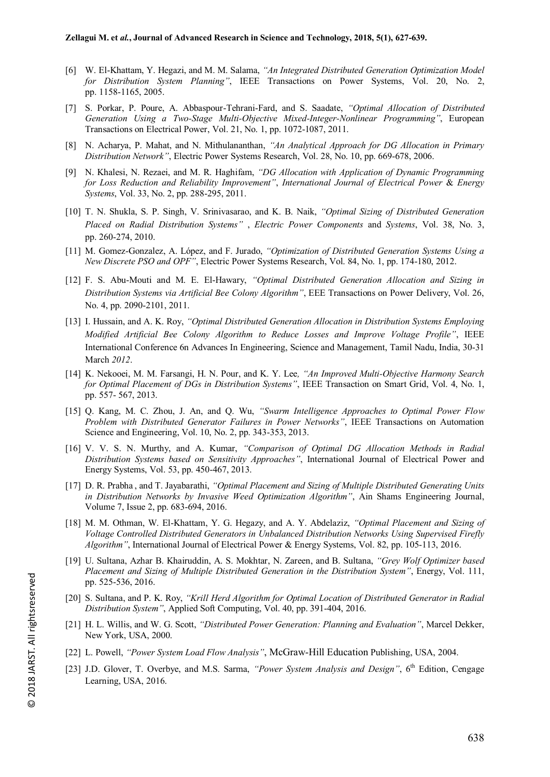- [6] W. El-Khattam, Y. Hegazi, and M. M. Salama, *"An Integrated Distributed Generation Optimization Model for Distribution System Planning"*, IEEE Transactions on Power Systems, Vol. 20, No. 2, pp. 1158-1165, 2005.
- [7] S. Porkar, P. Poure, A. Abbaspour-Tehrani-Fard, and S. Saadate, *"Optimal Allocation of Distributed Generation Using a Two-Stage Multi-Objective Mixed-Integer-Nonlinear Programming"*, European Transactions on Electrical Power, Vol. 21, No. 1, pp. 1072-1087, 2011.
- [8] N. Acharya, P. Mahat, and N. Mithulananthan, *"An Analytical Approach for DG Allocation in Primary Distribution Network"*, Electric Power Systems Research, Vol. 28, No. 10, pp. 669-678, 2006.
- [9] N. Khalesi, N. Rezaei, and M. R. Haghifam, *"DG Allocation with Application of Dynamic Programming for Loss Reduction and Reliability Improvement"*, *International Journal of Electrical Power* & *Energy Systems*, Vol. 33, No. 2, pp. 288-295, 2011.
- [10] T. N. Shukla, S. P. Singh, V. Srinivasarao, and K. B. Naik, *"Optimal Sizing of Distributed Generation Placed on Radial Distribution Systems"* , *Electric Power Components* and *Systems*, Vol. 38, No. 3, pp. 260-274, 2010.
- [11] M. Gomez-Gonzalez, A. López, and F. Jurado, *"Optimization of Distributed Generation Systems Using a New Discrete PSO and OPF"*, Electric Power Systems Research, Vol. 84, No. 1, pp. 174-180, 2012.
- [12] F. S. Abu-Mouti and M. E. El-Hawary, *"Optimal Distributed Generation Allocation and Sizing in Distribution Systems via Artificial Bee Colony Algorithm"*, EEE Transactions on Power Delivery, Vol. 26, No. 4, pp. 2090-2101, 2011.
- [13] I. Hussain, and A. K. Roy, *"Optimal Distributed Generation Allocation in Distribution Systems Employing Modified Artificial Bee Colony Algorithm to Reduce Losses and Improve Voltage Profile"*, IEEE International Conference 6n Advances In Engineering, Science and Management, Tamil Nadu, India, 30-31 March *2012*.
- [14] K. Nekooei, M. M. Farsangi, H. N. Pour, and K. Y. Lee*, "An Improved Multi-Objective Harmony Search for Optimal Placement of DGs in Distribution Systems"*, IEEE Transaction on Smart Grid, Vol. 4, No. 1, pp. 557- 567, 2013.
- [15] Q. Kang, M. C. Zhou, J. An, and Q. Wu, *"Swarm Intelligence Approaches to Optimal Power Flow Problem with Distributed Generator Failures in Power Networks"*, IEEE Transactions on Automation Science and Engineering, Vol. 10, No. 2, pp. 343-353, 2013.
- [16] V. V. S. N. Murthy, and A. Kumar, *"Comparison of Optimal DG Allocation Methods in Radial Distribution Systems based on Sensitivity Approaches"*, International Journal of Electrical Power and Energy Systems, Vol. 53, pp. 450-467, 2013.
- [17] D. R. Prabha , and T. Jayabarathi, *"Optimal Placement and Sizing of Multiple Distributed Generating Units in Distribution Networks by Invasive Weed Optimization Algorithm"*, Ain Shams Engineering Journal, Volume 7, Issue 2, pp. 683-694, 2016.
- [18] M. M. Othman, W. El-Khattam, Y. G. Hegazy, and A. Y. Abdelaziz, *"Optimal Placement and Sizing of Voltage Controlled Distributed Generators in Unbalanced Distribution Networks Using Supervised Firefly Algorithm"*, International Journal of Electrical Power & Energy Systems, Vol. 82, pp. 105-113, 2016.
- [19] U. Sultana, Azhar B. Khairuddin, A. S. Mokhtar, N. Zareen, and B. Sultana, *"Grey Wolf Optimizer based Placement and Sizing of Multiple Distributed Generation in the Distribution System"*, Energy, Vol. 111, pp. 525-536, 2016.
- [20] S. Sultana, and P. K. Roy, *"Krill Herd Algorithm for Optimal Location of Distributed Generator in Radial Distribution System"*, Applied Soft Computing, Vol. 40, pp. 391-404, 2016.
- [21] H. L. Willis, and W. G. Scott, *"Distributed Power Generation: Planning and Evaluation"*, Marcel Dekker, New York, USA, 2000.
- [22] L. Powell, *"Power System Load Flow Analysis"*, McGraw-Hill Education Publishing, USA, 2004.
- [23] J.D. Glover, T. Overbye, and M.S. Sarma, *"Power System Analysis and Design"*, 6th Edition, Cengage Learning, USA, 2016.